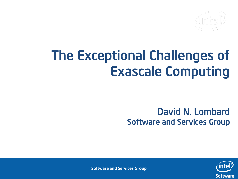## The Exceptional Challenges of Exascale Computing

#### David N. Lombard Software and Services Group



**Software and Services Group**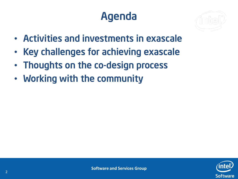## Agenda

- Activities and investments in exascale
- Key challenges for achieving exascale
- Thoughts on the co-design process
- Working with the community

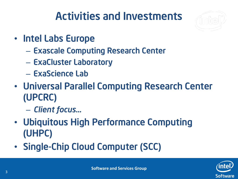## Activities and Investments

- Intel Labs Europe
	- Exascale Computing Research Center
	- ExaCluster Laboratory
	- ExaScience Lab
- Universal Parallel Computing Research Center (UPCRC)
	- *Client focus…*
- Ubiquitous High Performance Computing (UHPC)
- Single-Chip Cloud Computer (SCC)

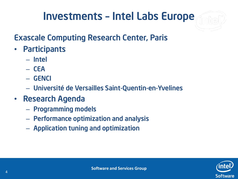## Investments – Intel Labs Europe

#### Exascale Computing Research Center, Paris

- Participants
	- Intel
	- CEA
	- GENCI
	- Université de Versailles Saint-Quentin-en-Yvelines
- Research Agenda
	- Programming models
	- Performance optimization and analysis
	- Application tuning and optimization

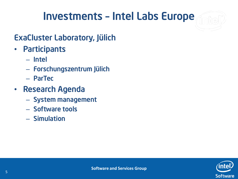#### Investments – Intel Labs Europe

#### ExaCluster Laboratory, Jülich

- Participants
	- Intel
	- Forschungszentrum Jülich
	- ParTec
- Research Agenda
	- System management
	- Software tools
	- Simulation

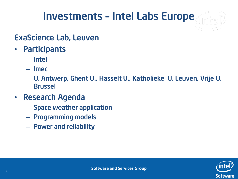### Investments – Intel Labs Europe

#### ExaScience Lab, Leuven

- Participants
	- Intel
	- Imec
	- U. Antwerp, Ghent U., Hasselt U., Katholieke U. Leuven, Vrije U. Brussel
- Research Agenda
	- Space weather application
	- Programming models
	- Power and reliability

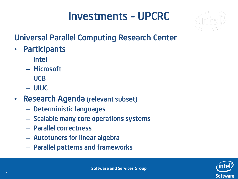#### Investments – UPCRC

#### Universal Parallel Computing Research Center

- Participants
	- Intel
	- Microsoft
	- UCB
	- UIUC
- Research Agenda (relevant subset)
	- Deterministic languages
	- Scalable many core operations systems
	- Parallel correctness
	- Autotuners for linear algebra
	- Parallel patterns and frameworks

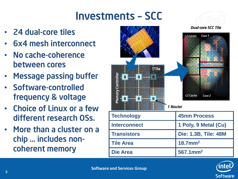## Investments – SCC

- 24 dual-core tiles
- 6x4 mesh interconnect
- No cache-coherence between cores
- **Message passing buffer**
- Software-controlled frequency & voltage
- Choice of Linux or a few different research OSs.
- More than a cluster on a chip … includes noncoherent memory



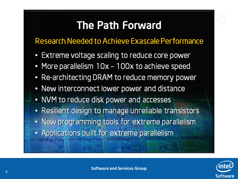#### **The Path Forward**

#### Research Needed to Achieve Exascale Performance

- Extreme voltage scaling to reduce core power
- More parallelism 10x 100x to achieve speed
- Re-architecting DRAM to reduce memory power
- New interconnect lower power and distance
- NVM to reduce disk power and accesses
- Resilient design to manage unreliable transistors
- New programming tools for extreme parallelism
- Applications built for extreme parallelism



 $12$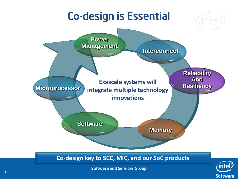## Co-design is Essential



**Software and Services Group**

**Software**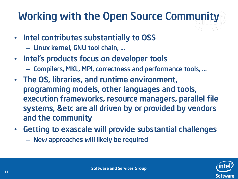## Working with the Open Source Community

- Intel contributes substantially to OSS
	- Linux kernel, GNU tool chain, …
- Intel's products focus on developer tools
	- Compilers, MKL, MPI, correctness and performance tools, …
- The OS, libraries, and runtime environment, programming models, other languages and tools, execution frameworks, resource managers, parallel file systems, &etc are all driven by or provided by vendors and the community
- Getting to exascale will provide substantial challenges
	- New approaches will likely be required

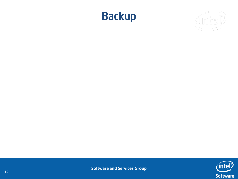



**Software and Services Group**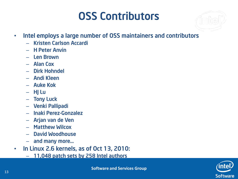## OSS Contributors

- Intel employs a large number of OSS maintainers and contributors
	- Kristen Carlson Accardi
	- H Peter Anvin
	- Len Brown
	- Alan Cox
	- Dirk Hohndel
	- Andi Kleen
	- Auke Kok
	- HJ Lu
	- Tony Luck
	- Venki Pallipadi
	- Inaki Perez-Gonzalez
	- Arjan van de Ven
	- Matthew Wilcox
	- David Woodhouse
	- and many more…
- In Linux 2.6 kernels, as of Oct 13, 2010:
	- 11,048 patch sets by 258 Intel authors